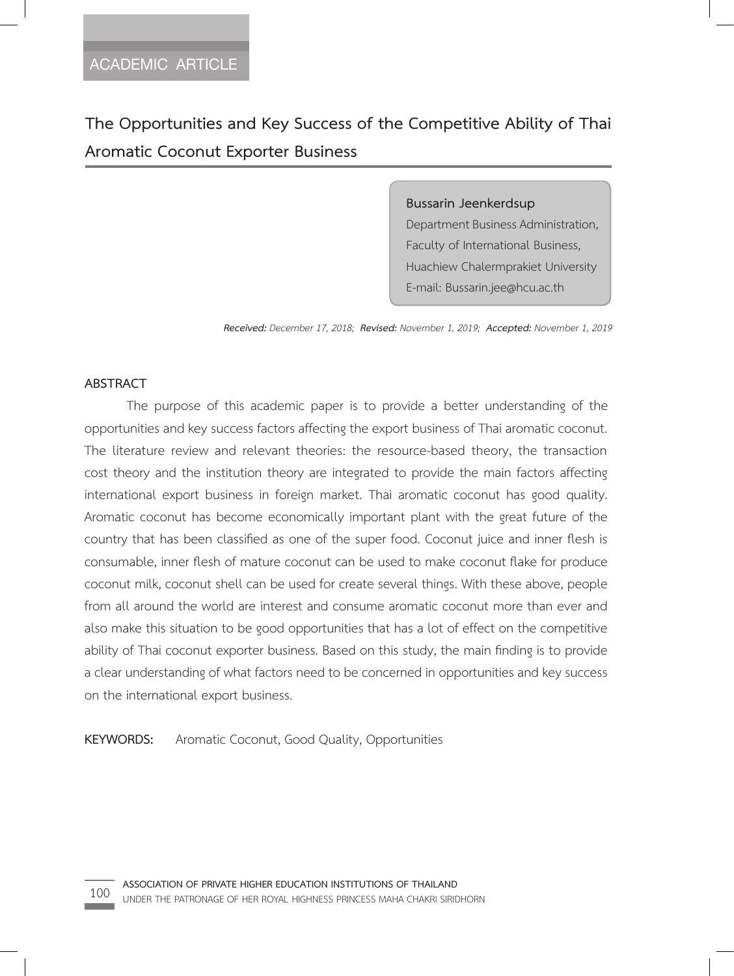**The Opportunities and Key Success of the Competitive Ability of Thai Aromatic Coconut Exporter Business**

> **Bussarin Jeenkerdsup**  Department Business Administration, Faculty of International Business, Huachiew Chalermprakiet University E-mail: Bussarin.jee@hcu.ac.th

*Received: December 17, 2018; Revised: November 1, 2019; Accepted: November 1, 2019*

### **ABSTRACT**

The purpose of this academic paper is to provide a better understanding of the opportunities and key success factors affecting the export business of Thai aromatic coconut. The literature review and relevant theories: the resource-based theory, the transaction cost theory and the institution theory are integrated to provide the main factors affecting international export business in foreign market. Thai aromatic coconut has good quality. Aromatic coconut has become economically important plant with the great future of the country that has been classified as one of the super food. Coconut juice and inner flesh is consumable, inner flesh of mature coconut can be used to make coconut flake for produce coconut milk, coconut shell can be used for create several things. With these above, people from all around the world are interest and consume aromatic coconut more than ever and also make this situation to be good opportunities that has a lot of effect on the competitive ability of Thai coconut exporter business. Based on this study, the main finding is to provide a clear understanding of what factors need to be concerned in opportunities and key success on the international export business.

**KEYWORDS:** Aromatic Coconut, Good Quality, Opportunities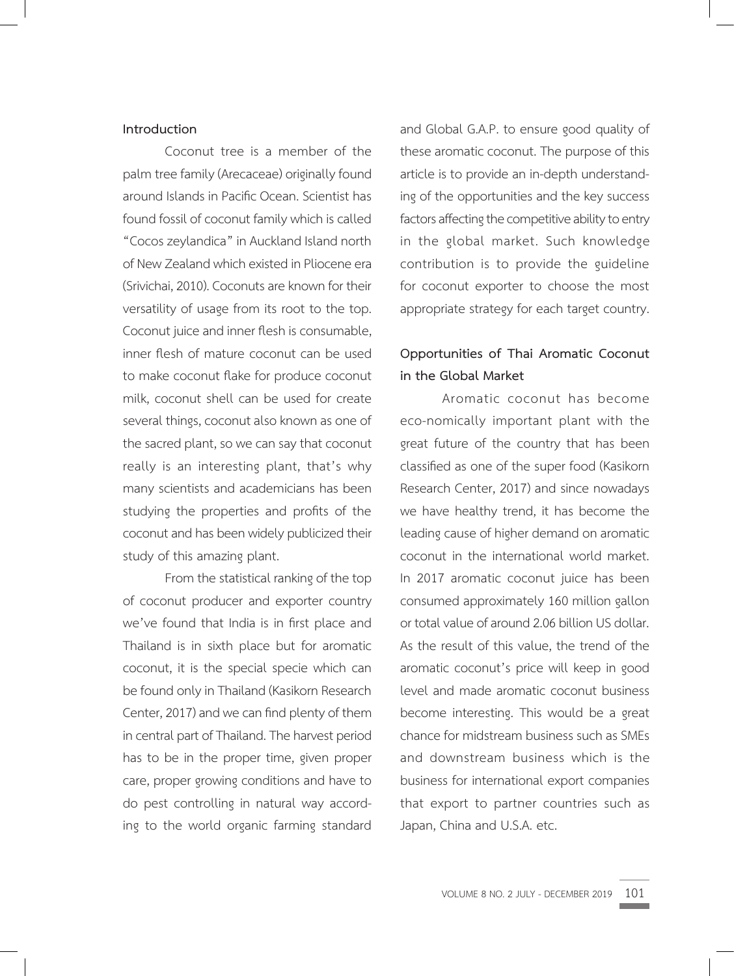### **Introduction**

Coconut tree is a member of the palm tree family (Arecaceae) originally found around Islands in Pacific Ocean. Scientist has found fossil of coconut family which is called "Cocos zeylandica" in Auckland Island north of New Zealand which existed in Pliocene era (Srivichai, 2010). Coconuts are known for their versatility of usage from its root to the top. Coconut juice and inner flesh is consumable, inner flesh of mature coconut can be used to make coconut flake for produce coconut milk, coconut shell can be used for create several things, coconut also known as one of the sacred plant, so we can say that coconut really is an interesting plant, that's why many scientists and academicians has been studying the properties and profits of the coconut and has been widely publicized their study of this amazing plant.

From the statistical ranking of the top of coconut producer and exporter country we've found that India is in first place and Thailand is in sixth place but for aromatic coconut, it is the special specie which can be found only in Thailand (Kasikorn Research Center, 2017) and we can find plenty of them in central part of Thailand. The harvest period has to be in the proper time, given proper care, proper growing conditions and have to do pest controlling in natural way according to the world organic farming standard

and Global G.A.P. to ensure good quality of these aromatic coconut. The purpose of this article is to provide an in-depth understanding of the opportunities and the key success factors affecting the competitive ability to entry in the global market. Such knowledge contribution is to provide the guideline for coconut exporter to choose the most appropriate strategy for each target country.

## **Opportunities of Thai Aromatic Coconut in the Global Market**

Aromatic coconut has become eco-nomically important plant with the great future of the country that has been classified as one of the super food (Kasikorn Research Center, 2017) and since nowadays we have healthy trend, it has become the leading cause of higher demand on aromatic coconut in the international world market. In 2017 aromatic coconut juice has been consumed approximately 160 million gallon or total value of around 2.06 billion US dollar. As the result of this value, the trend of the aromatic coconut's price will keep in good level and made aromatic coconut business become interesting. This would be a great chance for midstream business such as SMEs and downstream business which is the business for international export companies that export to partner countries such as Japan, China and U.S.A. etc.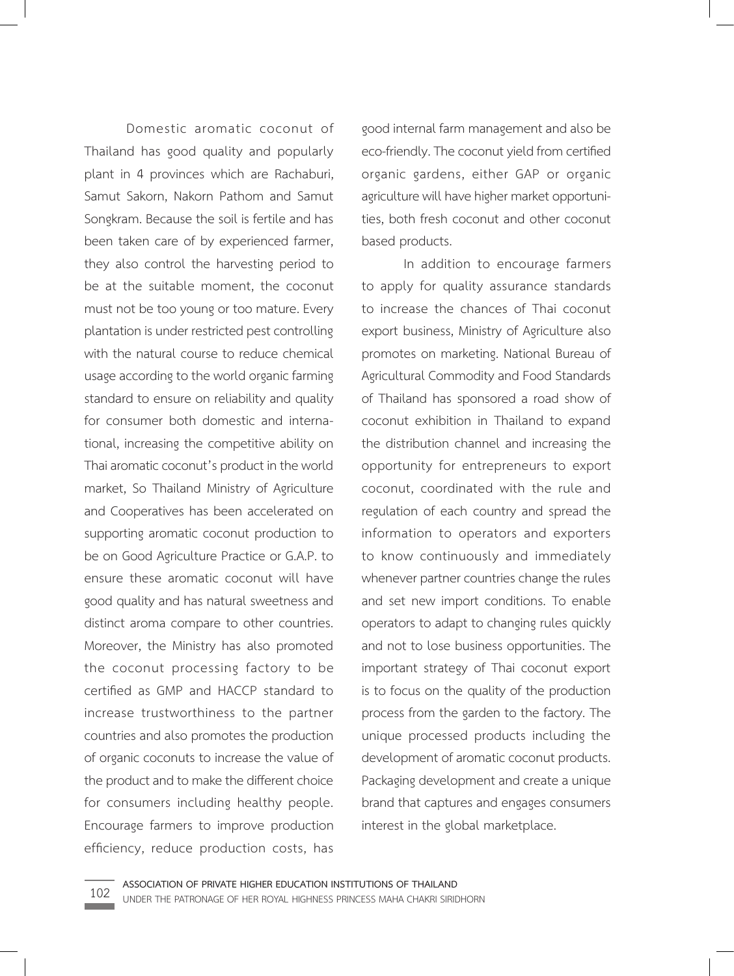Domestic aromatic coconut of Thailand has good quality and popularly plant in 4 provinces which are Rachaburi, Samut Sakorn, Nakorn Pathom and Samut Songkram. Because the soil is fertile and has been taken care of by experienced farmer, they also control the harvesting period to be at the suitable moment, the coconut must not be too young or too mature. Every plantation is under restricted pest controlling with the natural course to reduce chemical usage according to the world organic farming standard to ensure on reliability and quality for consumer both domestic and international, increasing the competitive ability on Thai aromatic coconut's product in the world market, So Thailand Ministry of Agriculture and Cooperatives has been accelerated on supporting aromatic coconut production to be on Good Agriculture Practice or G.A.P. to ensure these aromatic coconut will have good quality and has natural sweetness and distinct aroma compare to other countries. Moreover, the Ministry has also promoted the coconut processing factory to be certified as GMP and HACCP standard to increase trustworthiness to the partner countries and also promotes the production of organic coconuts to increase the value of the product and to make the different choice for consumers including healthy people. Encourage farmers to improve production efficiency, reduce production costs, has

good internal farm management and also be eco-friendly. The coconut yield from certified organic gardens, either GAP or organic agriculture will have higher market opportunities, both fresh coconut and other coconut based products.

In addition to encourage farmers to apply for quality assurance standards to increase the chances of Thai coconut export business, Ministry of Agriculture also promotes on marketing. National Bureau of Agricultural Commodity and Food Standards of Thailand has sponsored a road show of coconut exhibition in Thailand to expand the distribution channel and increasing the opportunity for entrepreneurs to export coconut, coordinated with the rule and regulation of each country and spread the information to operators and exporters to know continuously and immediately whenever partner countries change the rules and set new import conditions. To enable operators to adapt to changing rules quickly and not to lose business opportunities. The important strategy of Thai coconut export is to focus on the quality of the production process from the garden to the factory. The unique processed products including the development of aromatic coconut products. Packaging development and create a unique brand that captures and engages consumers interest in the global marketplace.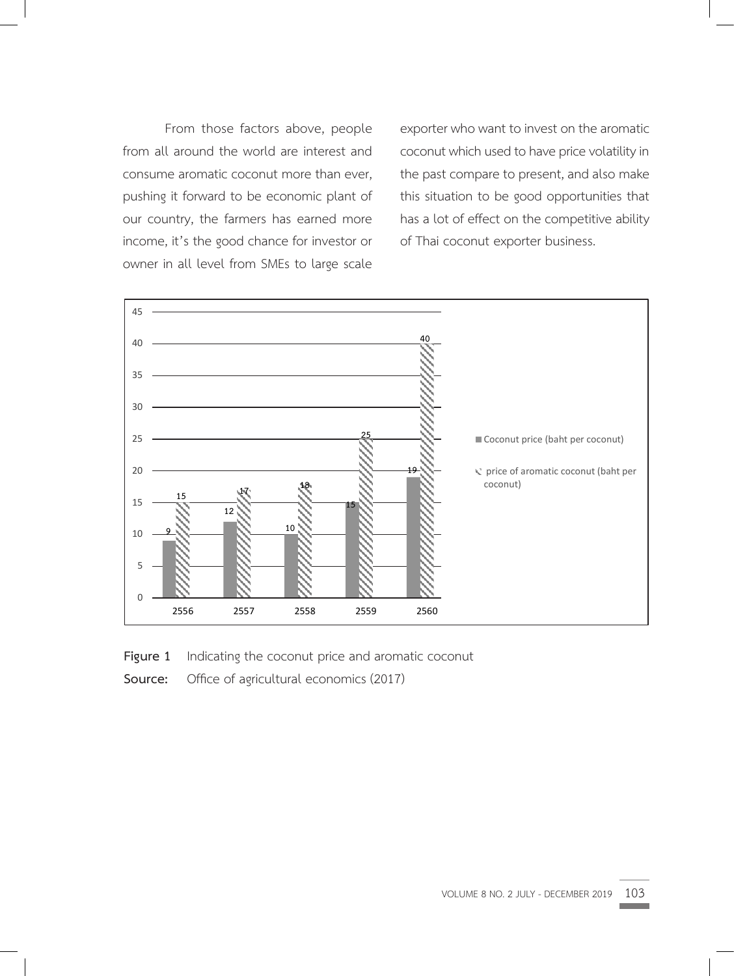From those factors above, people from all around the world are interest and consume aromatic coconut more than ever, pushing it forward to be economic plant of our country, the farmers has earned more income, it's the good chance for investor or owner in all level from SMEs to large scale

exporter who want to invest on the aromatic coconut which used to have price volatility in the past compare to present, and also make this situation to be good opportunities that has a lot of effect on the competitive ability of Thai coconut exporter business.



**Figure 1** Indicating the coconut price and aromatic coconut **Figure 1** Indicating the coconut price and aromatic coconut

**Source:** Office of agricultural economics (2017)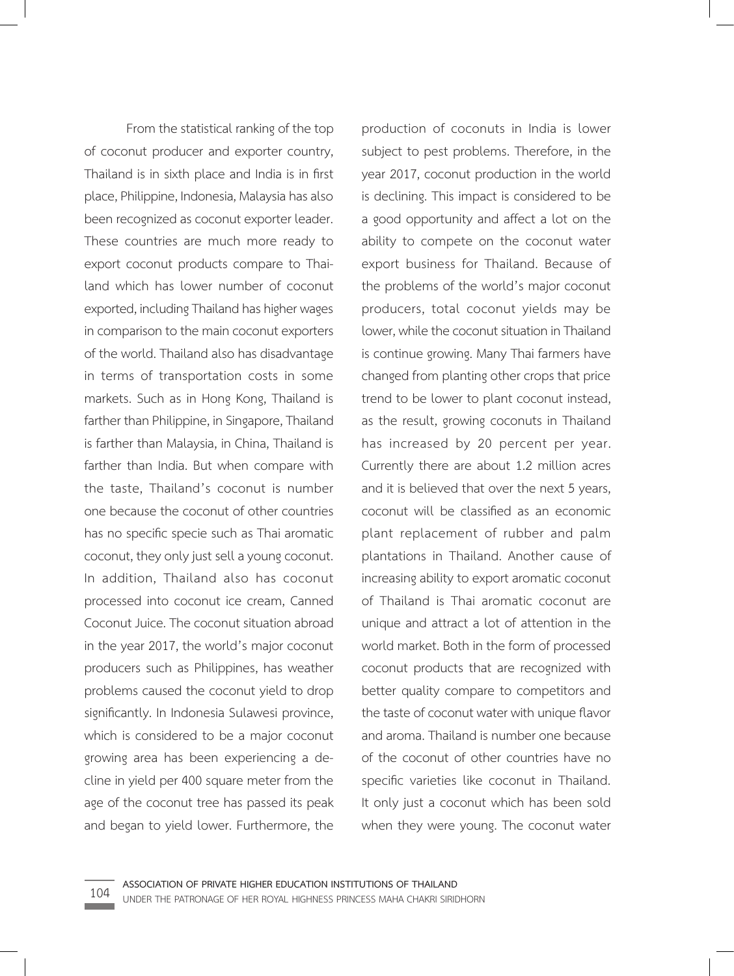From the statistical ranking of the top of coconut producer and exporter country, Thailand is in sixth place and India is in first place, Philippine, Indonesia, Malaysia has also been recognized as coconut exporter leader. These countries are much more ready to export coconut products compare to Thailand which has lower number of coconut exported, including Thailand has higher wages in comparison to the main coconut exporters of the world. Thailand also has disadvantage in terms of transportation costs in some markets. Such as in Hong Kong, Thailand is farther than Philippine, in Singapore, Thailand is farther than Malaysia, in China, Thailand is farther than India. But when compare with the taste, Thailand's coconut is number one because the coconut of other countries has no specific specie such as Thai aromatic coconut, they only just sell a young coconut. In addition, Thailand also has coconut processed into coconut ice cream, Canned Coconut Juice. The coconut situation abroad in the year 2017, the world's major coconut producers such as Philippines, has weather problems caused the coconut yield to drop significantly. In Indonesia Sulawesi province, which is considered to be a major coconut growing area has been experiencing a decline in yield per 400 square meter from the age of the coconut tree has passed its peak and began to yield lower. Furthermore, the

production of coconuts in India is lower subject to pest problems. Therefore, in the year 2017, coconut production in the world is declining. This impact is considered to be a good opportunity and affect a lot on the ability to compete on the coconut water export business for Thailand. Because of the problems of the world's major coconut producers, total coconut yields may be lower, while the coconut situation in Thailand is continue growing. Many Thai farmers have changed from planting other crops that price trend to be lower to plant coconut instead, as the result, growing coconuts in Thailand has increased by 20 percent per year. Currently there are about 1.2 million acres and it is believed that over the next 5 years, coconut will be classified as an economic plant replacement of rubber and palm plantations in Thailand. Another cause of increasing ability to export aromatic coconut of Thailand is Thai aromatic coconut are unique and attract a lot of attention in the world market. Both in the form of processed coconut products that are recognized with better quality compare to competitors and the taste of coconut water with unique flavor and aroma. Thailand is number one because of the coconut of other countries have no specific varieties like coconut in Thailand. It only just a coconut which has been sold when they were young. The coconut water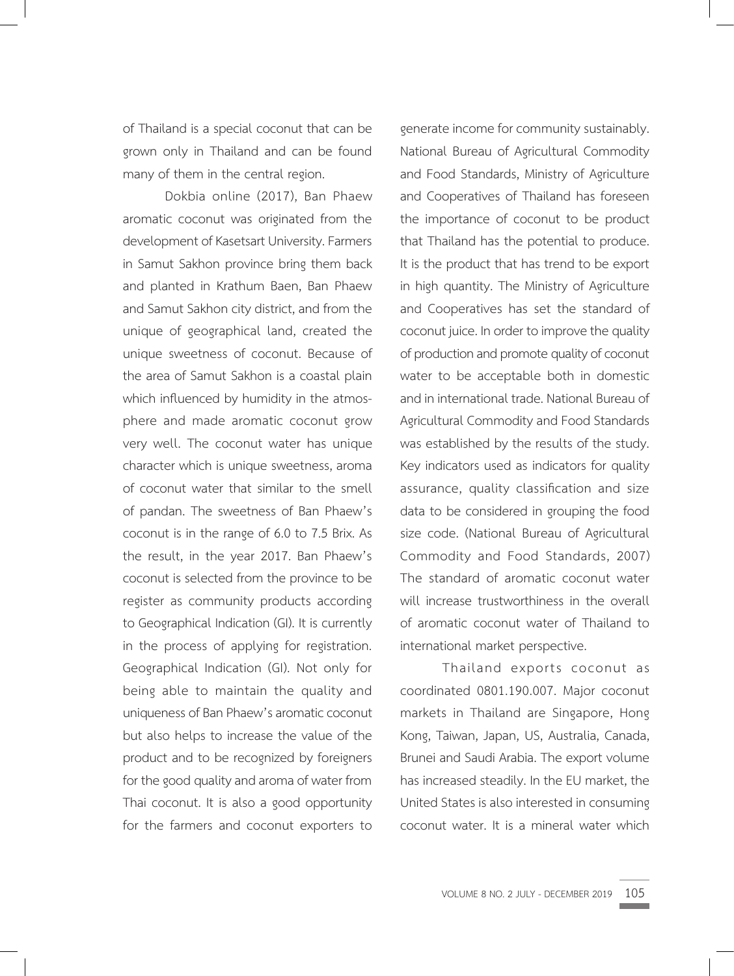of Thailand is a special coconut that can be grown only in Thailand and can be found many of them in the central region.

Dokbia online (2017), Ban Phaew aromatic coconut was originated from the development of Kasetsart University. Farmers in Samut Sakhon province bring them back and planted in Krathum Baen, Ban Phaew and Samut Sakhon city district, and from the unique of geographical land, created the unique sweetness of coconut. Because of the area of Samut Sakhon is a coastal plain which influenced by humidity in the atmosphere and made aromatic coconut grow very well. The coconut water has unique character which is unique sweetness, aroma of coconut water that similar to the smell of pandan. The sweetness of Ban Phaew's coconut is in the range of 6.0 to 7.5 Brix. As the result, in the year 2017. Ban Phaew's coconut is selected from the province to be register as community products according to Geographical Indication (GI). It is currently in the process of applying for registration. Geographical Indication (GI). Not only for being able to maintain the quality and uniqueness of Ban Phaew's aromatic coconut but also helps to increase the value of the product and to be recognized by foreigners for the good quality and aroma of water from Thai coconut. It is also a good opportunity for the farmers and coconut exporters to

generate income for community sustainably. National Bureau of Agricultural Commodity and Food Standards, Ministry of Agriculture and Cooperatives of Thailand has foreseen the importance of coconut to be product that Thailand has the potential to produce. It is the product that has trend to be export in high quantity. The Ministry of Agriculture and Cooperatives has set the standard of coconut juice. In order to improve the quality of production and promote quality of coconut water to be acceptable both in domestic and in international trade. National Bureau of Agricultural Commodity and Food Standards was established by the results of the study. Key indicators used as indicators for quality assurance, quality classification and size data to be considered in grouping the food size code. (National Bureau of Agricultural Commodity and Food Standards, 2007) The standard of aromatic coconut water will increase trustworthiness in the overall of aromatic coconut water of Thailand to international market perspective.

Thailand exports coconut as coordinated 0801.190.007. Major coconut markets in Thailand are Singapore, Hong Kong, Taiwan, Japan, US, Australia, Canada, Brunei and Saudi Arabia. The export volume has increased steadily. In the EU market, the United States is also interested in consuming coconut water. It is a mineral water which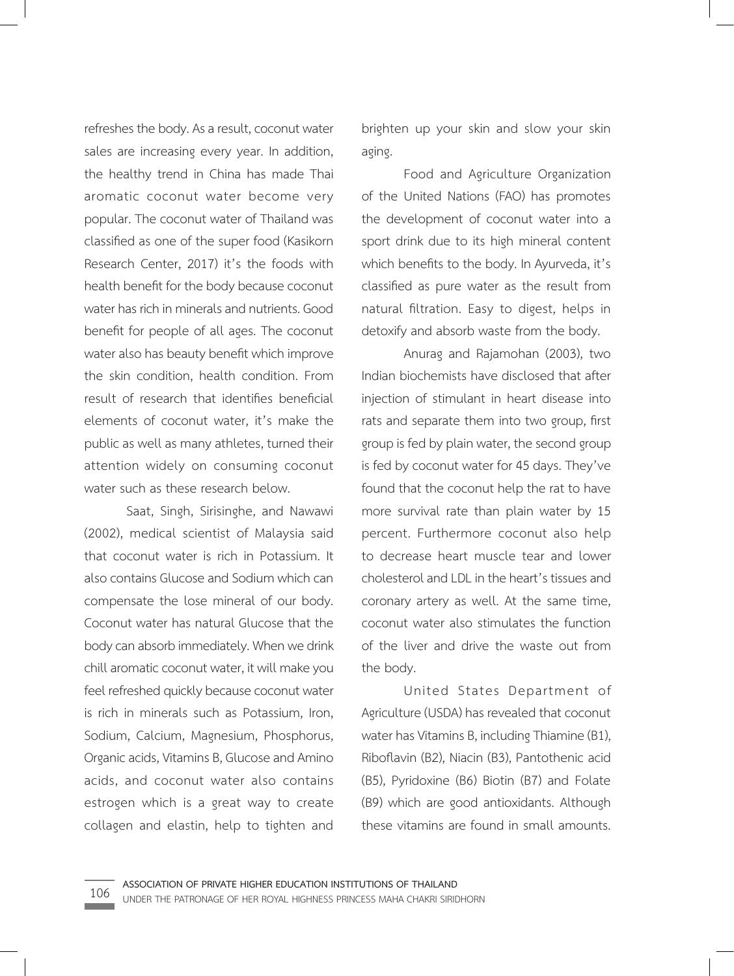refreshes the body. As a result, coconut water sales are increasing every year. In addition, the healthy trend in China has made Thai aromatic coconut water become very popular. The coconut water of Thailand was classified as one of the super food (Kasikorn Research Center, 2017) it's the foods with health benefit for the body because coconut water has rich in minerals and nutrients. Good benefit for people of all ages. The coconut water also has beauty benefit which improve the skin condition, health condition. From result of research that identifies beneficial elements of coconut water, it's make the public as well as many athletes, turned their attention widely on consuming coconut water such as these research below.

Saat, Singh, Sirisinghe, and Nawawi (2002), medical scientist of Malaysia said that coconut water is rich in Potassium. It also contains Glucose and Sodium which can compensate the lose mineral of our body. Coconut water has natural Glucose that the body can absorb immediately. When we drink chill aromatic coconut water, it will make you feel refreshed quickly because coconut water is rich in minerals such as Potassium, Iron, Sodium, Calcium, Magnesium, Phosphorus, Organic acids, Vitamins B, Glucose and Amino acids, and coconut water also contains estrogen which is a great way to create collagen and elastin, help to tighten and

brighten up your skin and slow your skin aging.

Food and Agriculture Organization of the United Nations (FAO) has promotes the development of coconut water into a sport drink due to its high mineral content which benefits to the body. In Ayurveda, it's classified as pure water as the result from natural filtration. Easy to digest, helps in detoxify and absorb waste from the body.

Anurag and Rajamohan (2003), two Indian biochemists have disclosed that after injection of stimulant in heart disease into rats and separate them into two group, first group is fed by plain water, the second group is fed by coconut water for 45 days. They've found that the coconut help the rat to have more survival rate than plain water by 15 percent. Furthermore coconut also help to decrease heart muscle tear and lower cholesterol and LDL in the heart's tissues and coronary artery as well. At the same time, coconut water also stimulates the function of the liver and drive the waste out from the body.

United States Department of Agriculture (USDA) has revealed that coconut water has Vitamins B, including Thiamine (B1), Riboflavin (B2), Niacin (B3), Pantothenic acid (B5), Pyridoxine (B6) Biotin (B7) and Folate (B9) which are good antioxidants. Although these vitamins are found in small amounts.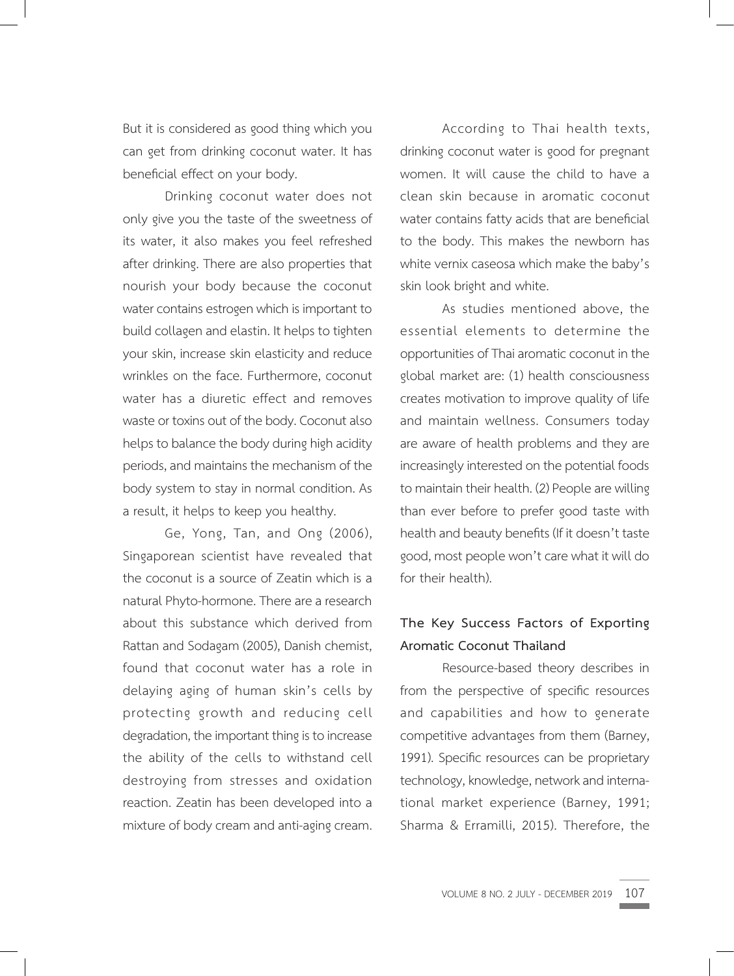But it is considered as good thing which you can get from drinking coconut water. It has beneficial effect on your body.

Drinking coconut water does not only give you the taste of the sweetness of its water, it also makes you feel refreshed after drinking. There are also properties that nourish your body because the coconut water contains estrogen which is important to build collagen and elastin. It helps to tighten your skin, increase skin elasticity and reduce wrinkles on the face. Furthermore, coconut water has a diuretic effect and removes waste or toxins out of the body. Coconut also helps to balance the body during high acidity periods, and maintains the mechanism of the body system to stay in normal condition. As a result, it helps to keep you healthy.

Ge, Yong, Tan, and Ong (2006), Singaporean scientist have revealed that the coconut is a source of Zeatin which is a natural Phyto-hormone. There are a research about this substance which derived from Rattan and Sodagam (2005), Danish chemist, found that coconut water has a role in delaying aging of human skin's cells by protecting growth and reducing cell degradation, the important thing is to increase the ability of the cells to withstand cell destroying from stresses and oxidation reaction. Zeatin has been developed into a mixture of body cream and anti-aging cream.

According to Thai health texts, drinking coconut water is good for pregnant women. It will cause the child to have a clean skin because in aromatic coconut water contains fatty acids that are beneficial to the body. This makes the newborn has white vernix caseosa which make the baby's skin look bright and white.

As studies mentioned above, the essential elements to determine the opportunities of Thai aromatic coconut in the global market are: (1) health consciousness creates motivation to improve quality of life and maintain wellness. Consumers today are aware of health problems and they are increasingly interested on the potential foods to maintain their health. (2) People are willing than ever before to prefer good taste with health and beauty benefits (If it doesn't taste good, most people won't care what it will do for their health).

# **The Key Success Factors of Exporting Aromatic Coconut Thailand**

Resource-based theory describes in from the perspective of specific resources and capabilities and how to generate competitive advantages from them (Barney, 1991). Specific resources can be proprietary technology, knowledge, network and international market experience (Barney, 1991; Sharma & Erramilli, 2015). Therefore, the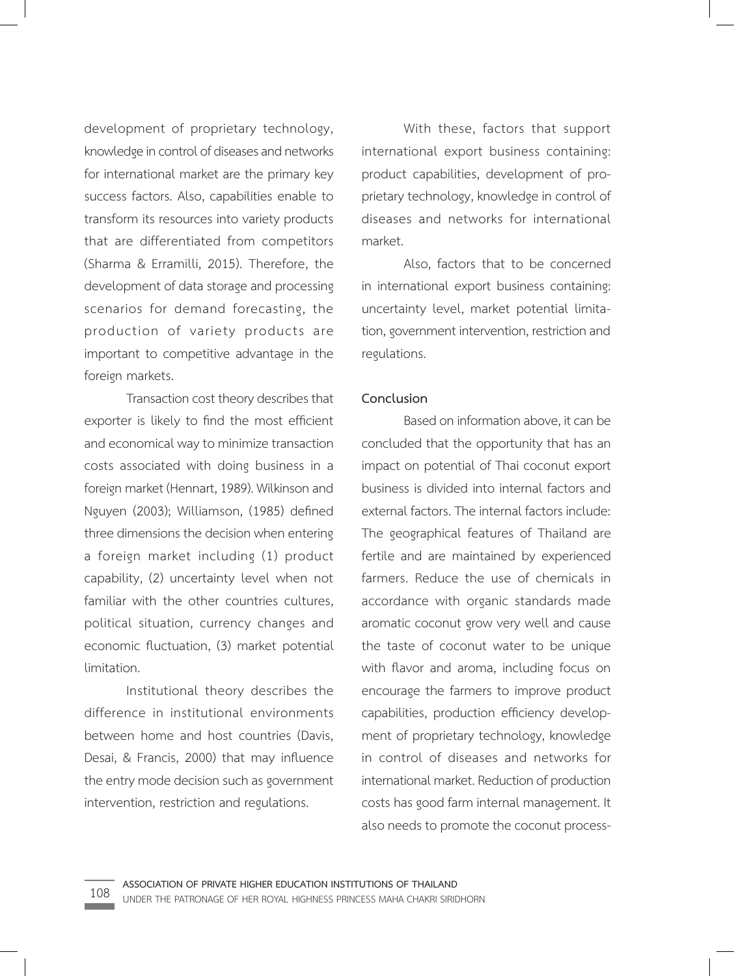development of proprietary technology, knowledge in control of diseases and networks for international market are the primary key success factors. Also, capabilities enable to transform its resources into variety products that are differentiated from competitors (Sharma & Erramilli, 2015). Therefore, the development of data storage and processing scenarios for demand forecasting, the production of variety products are important to competitive advantage in the foreign markets.

Transaction cost theory describes that exporter is likely to find the most efficient and economical way to minimize transaction costs associated with doing business in a foreign market (Hennart, 1989). Wilkinson and Nguyen (2003); Williamson, (1985) defined three dimensions the decision when entering a foreign market including (1) product capability, (2) uncertainty level when not familiar with the other countries cultures, political situation, currency changes and economic fluctuation, (3) market potential limitation.

Institutional theory describes the difference in institutional environments between home and host countries (Davis, Desai, & Francis, 2000) that may influence the entry mode decision such as government intervention, restriction and regulations.

With these, factors that support international export business containing: product capabilities, development of proprietary technology, knowledge in control of diseases and networks for international market.

Also, factors that to be concerned in international export business containing: uncertainty level, market potential limitation, government intervention, restriction and regulations.

#### **Conclusion**

Based on information above, it can be concluded that the opportunity that has an impact on potential of Thai coconut export business is divided into internal factors and external factors. The internal factors include: The geographical features of Thailand are fertile and are maintained by experienced farmers. Reduce the use of chemicals in accordance with organic standards made aromatic coconut grow very well and cause the taste of coconut water to be unique with flavor and aroma, including focus on encourage the farmers to improve product capabilities, production efficiency development of proprietary technology, knowledge in control of diseases and networks for international market. Reduction of production costs has good farm internal management. It also needs to promote the coconut process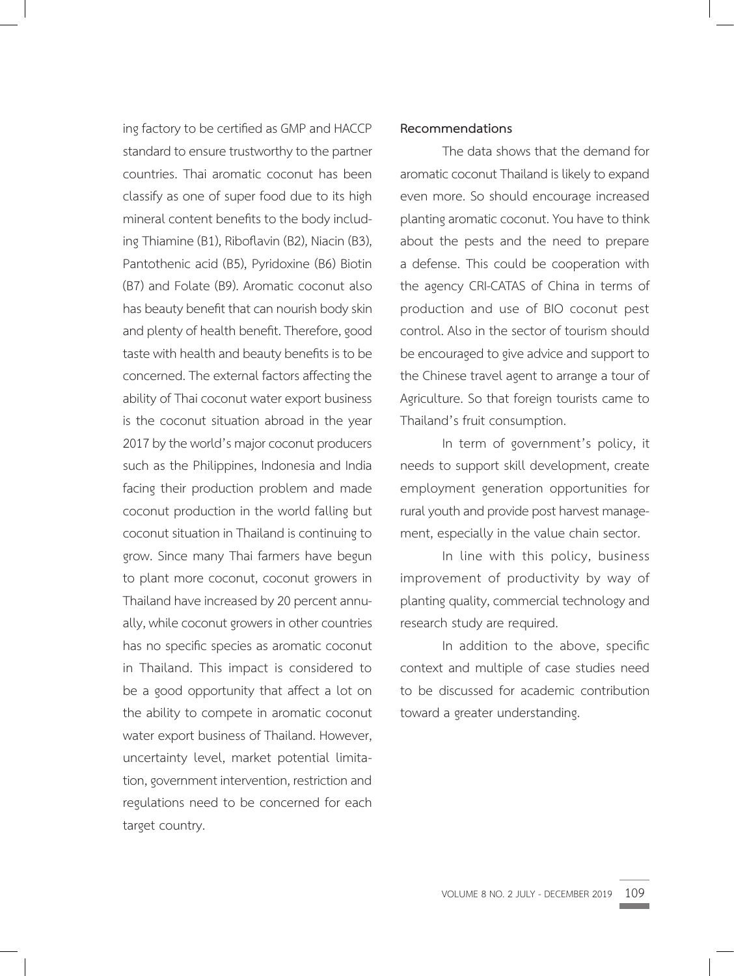ing factory to be certified as GMP and HACCP standard to ensure trustworthy to the partner countries. Thai aromatic coconut has been classify as one of super food due to its high mineral content benefits to the body including Thiamine (B1), Riboflavin (B2), Niacin (B3), Pantothenic acid (B5), Pyridoxine (B6) Biotin (B7) and Folate (B9). Aromatic coconut also has beauty benefit that can nourish body skin and plenty of health benefit. Therefore, good taste with health and beauty benefits is to be concerned. The external factors affecting the ability of Thai coconut water export business is the coconut situation abroad in the year 2017 by the world's major coconut producers such as the Philippines, Indonesia and India facing their production problem and made coconut production in the world falling but coconut situation in Thailand is continuing to grow. Since many Thai farmers have begun to plant more coconut, coconut growers in Thailand have increased by 20 percent annually, while coconut growers in other countries has no specific species as aromatic coconut in Thailand. This impact is considered to be a good opportunity that affect a lot on the ability to compete in aromatic coconut water export business of Thailand. However, uncertainty level, market potential limitation, government intervention, restriction and regulations need to be concerned for each target country.

### **Recommendations**

The data shows that the demand for aromatic coconut Thailand is likely to expand even more. So should encourage increased planting aromatic coconut. You have to think about the pests and the need to prepare a defense. This could be cooperation with the agency CRI-CATAS of China in terms of production and use of BIO coconut pest control. Also in the sector of tourism should be encouraged to give advice and support to the Chinese travel agent to arrange a tour of Agriculture. So that foreign tourists came to Thailand's fruit consumption.

In term of government's policy, it needs to support skill development, create employment generation opportunities for rural youth and provide post harvest management, especially in the value chain sector.

In line with this policy, business improvement of productivity by way of planting quality, commercial technology and research study are required.

In addition to the above, specific context and multiple of case studies need to be discussed for academic contribution toward a greater understanding.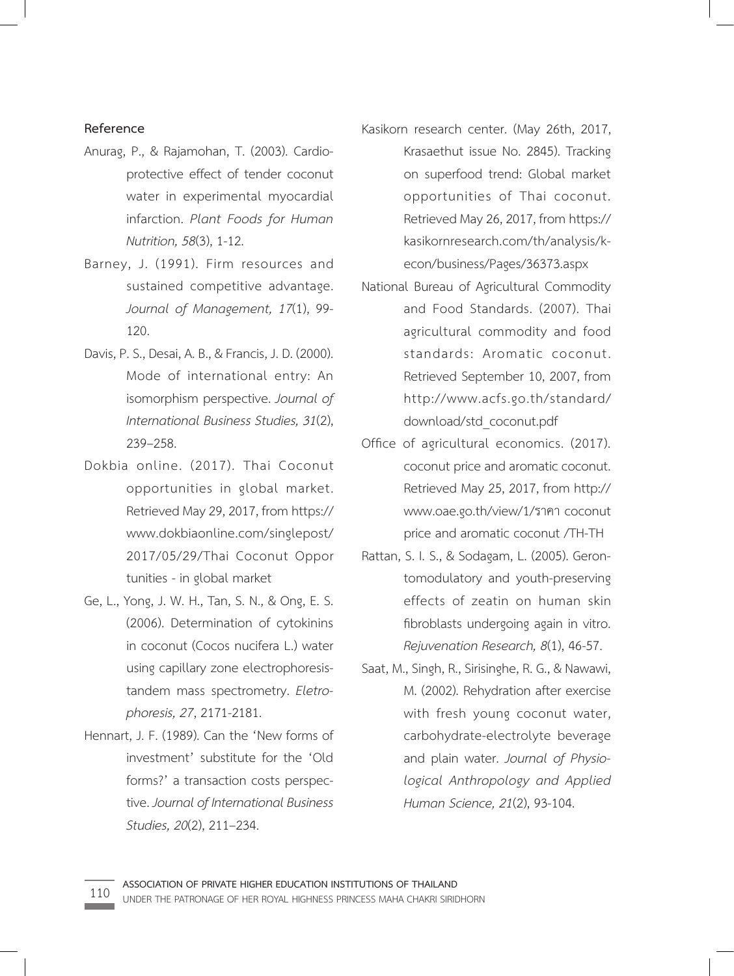## **Reference**

- Anurag, P., & Rajamohan, T. (2003). Cardioprotective effect of tender coconut water in experimental myocardial infarction. *Plant Foods for Human Nutrition, 58*(3), 1-12.
- Barney, J. (1991). Firm resources and sustained competitive advantage. *Journal of Management, 17*(1), 99- 120.
- Davis, P. S., Desai, A. B., & Francis, J. D. (2000). Mode of international entry: An isomorphism perspective. *Journal of International Business Studies, 31*(2), 239–258.
- Dokbia online. (2017). Thai Coconut opportunities in global market. Retrieved May 29, 2017, from https:// www.dokbiaonline.com/singlepost/ 2017/05/29/Thai Coconut Oppor tunities - in global market
- Ge, L., Yong, J. W. H., Tan, S. N., & Ong, E. S. (2006). Determination of cytokinins in coconut (Cocos nucifera L.) water using capillary zone electrophoresistandem mass spectrometry. *Eletrophoresis, 27*, 2171-2181.
- Hennart, J. F. (1989). Can the 'New forms of investment' substitute for the 'Old forms?' a transaction costs perspective. *Journal of International Business Studies, 20*(2), 211–234.
- Kasikorn research center. (May 26th, 2017, Krasaethut issue No. 2845). Tracking on superfood trend: Global market opportunities of Thai coconut. Retrieved May 26, 2017, from https:// kasikornresearch.com/th/analysis/kecon/business/Pages/36373.aspx
- National Bureau of Agricultural Commodity and Food Standards. (2007). Thai agricultural commodity and food standards: Aromatic coconut. Retrieved September 10, 2007, from http://www.acfs.go.th/standard/ download/std\_coconut.pdf
- Office of agricultural economics. (2017). coconut price and aromatic coconut. Retrieved May 25, 2017, from http:// www.oae.go.th/view/1/ราคา coconut price and aromatic coconut /TH-TH
- Rattan, S. I. S., & Sodagam, L. (2005). Gerontomodulatory and youth-preserving effects of zeatin on human skin fibroblasts undergoing again in vitro. *Rejuvenation Research, 8*(1), 46-57.
- Saat, M., Singh, R., Sirisinghe, R. G., & Nawawi, M. (2002). Rehydration after exercise with fresh young coconut water, carbohydrate-electrolyte beverage and plain water. *Journal of Physiological Anthropology and Applied Human Science, 21*(2), 93-104.